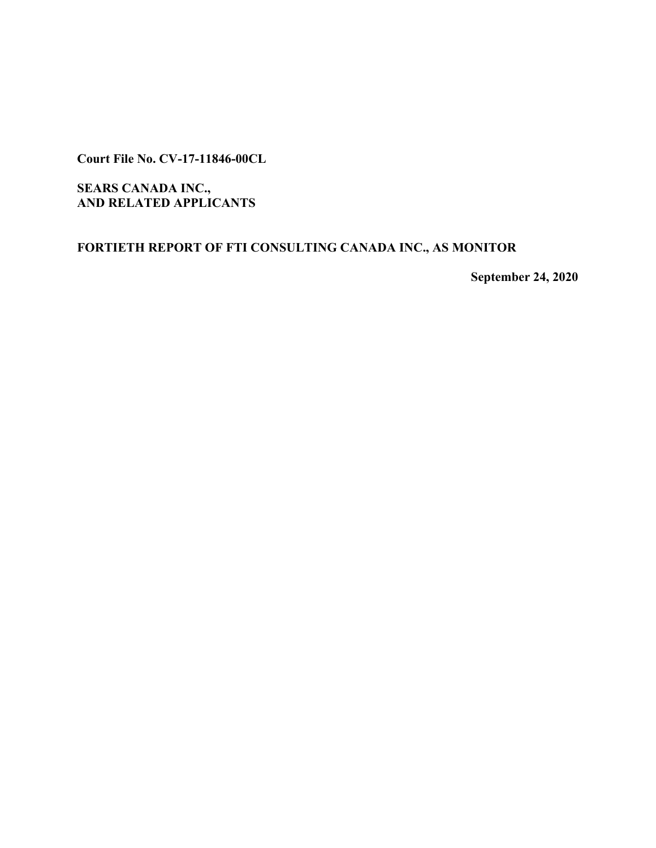**Court File No. CV-17-11846-00CL**

**SEARS CANADA INC., AND RELATED APPLICANTS**

**FORTIETH REPORT OF FTI CONSULTING CANADA INC., AS MONITOR**

**September 24, 2020**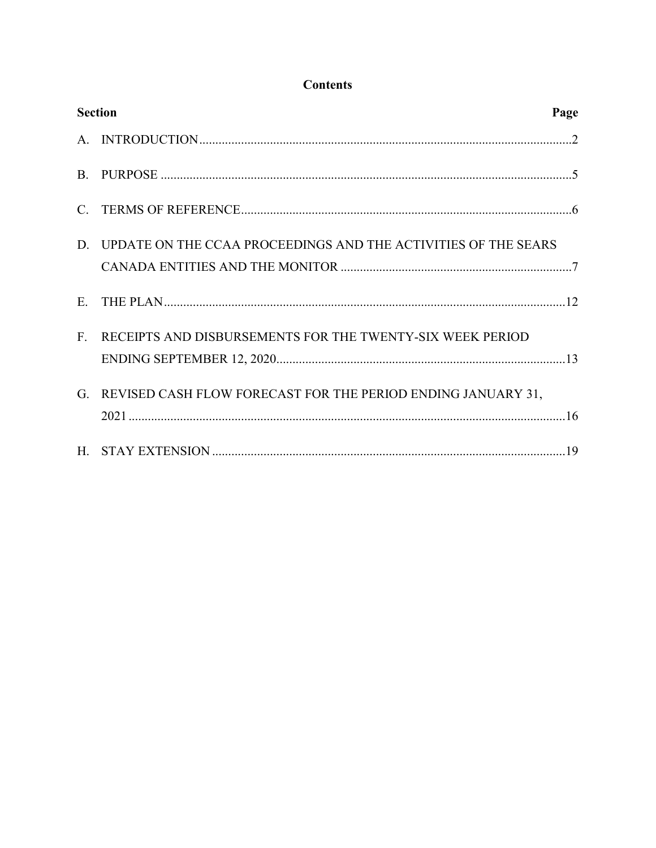# **Contents**

| <b>Section</b><br>Page |                                                                   |  |
|------------------------|-------------------------------------------------------------------|--|
|                        |                                                                   |  |
|                        |                                                                   |  |
|                        |                                                                   |  |
|                        | D. UPDATE ON THE CCAA PROCEEDINGS AND THE ACTIVITIES OF THE SEARS |  |
| E.                     |                                                                   |  |
| $F_{\cdot}$            | RECEIPTS AND DISBURSEMENTS FOR THE TWENTY-SIX WEEK PERIOD         |  |
| G                      | REVISED CASH FLOW FORECAST FOR THE PERIOD ENDING JANUARY 31,      |  |
|                        |                                                                   |  |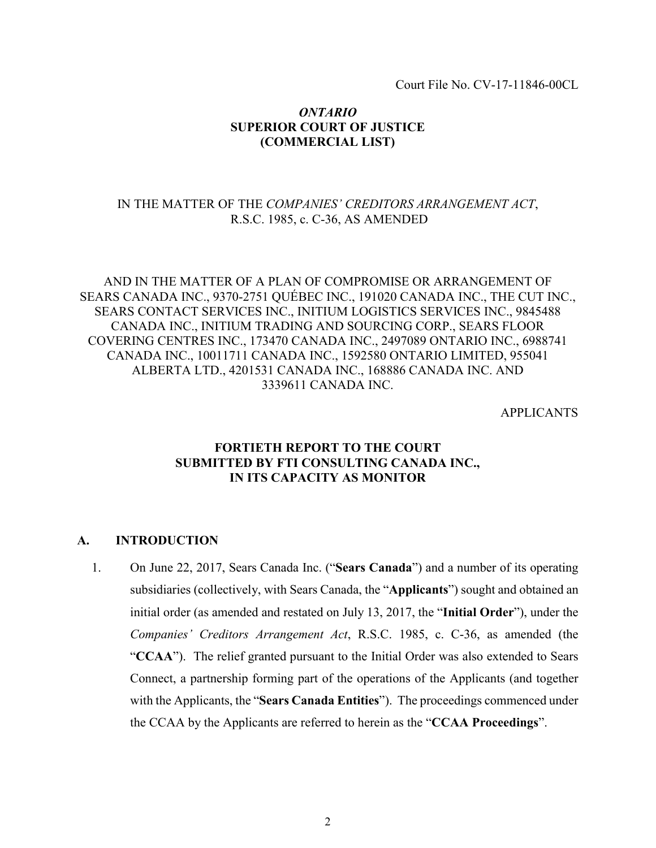Court File No. CV-17-11846-00CL

## *ONTARIO* **SUPERIOR COURT OF JUSTICE (COMMERCIAL LIST)**

## IN THE MATTER OF THE *COMPANIES' CREDITORS ARRANGEMENT ACT*, R.S.C. 1985, c. C-36, AS AMENDED

AND IN THE MATTER OF A PLAN OF COMPROMISE OR ARRANGEMENT OF SEARS CANADA INC., 9370-2751 QUÉBEC INC., 191020 CANADA INC., THE CUT INC., SEARS CONTACT SERVICES INC., INITIUM LOGISTICS SERVICES INC., 9845488 CANADA INC., INITIUM TRADING AND SOURCING CORP., SEARS FLOOR COVERING CENTRES INC., 173470 CANADA INC., 2497089 ONTARIO INC., 6988741 CANADA INC., 10011711 CANADA INC., 1592580 ONTARIO LIMITED, 955041 ALBERTA LTD., 4201531 CANADA INC., 168886 CANADA INC. AND 3339611 CANADA INC.

APPLICANTS

# **FORTIETH REPORT TO THE COURT SUBMITTED BY FTI CONSULTING CANADA INC., IN ITS CAPACITY AS MONITOR**

#### **A. INTRODUCTION**

<span id="page-2-0"></span>1. On June 22, 2017, Sears Canada Inc. ("**Sears Canada**") and a number of its operating subsidiaries (collectively, with Sears Canada, the "**Applicants**") sought and obtained an initial order (as amended and restated on July 13, 2017, the "**Initial Order**"), under the *Companies' Creditors Arrangement Act*, R.S.C. 1985, c. C-36, as amended (the "**CCAA**"). The relief granted pursuant to the Initial Order was also extended to Sears Connect, a partnership forming part of the operations of the Applicants (and together with the Applicants, the "**Sears Canada Entities**"). The proceedings commenced under the CCAA by the Applicants are referred to herein as the "**CCAA Proceedings**".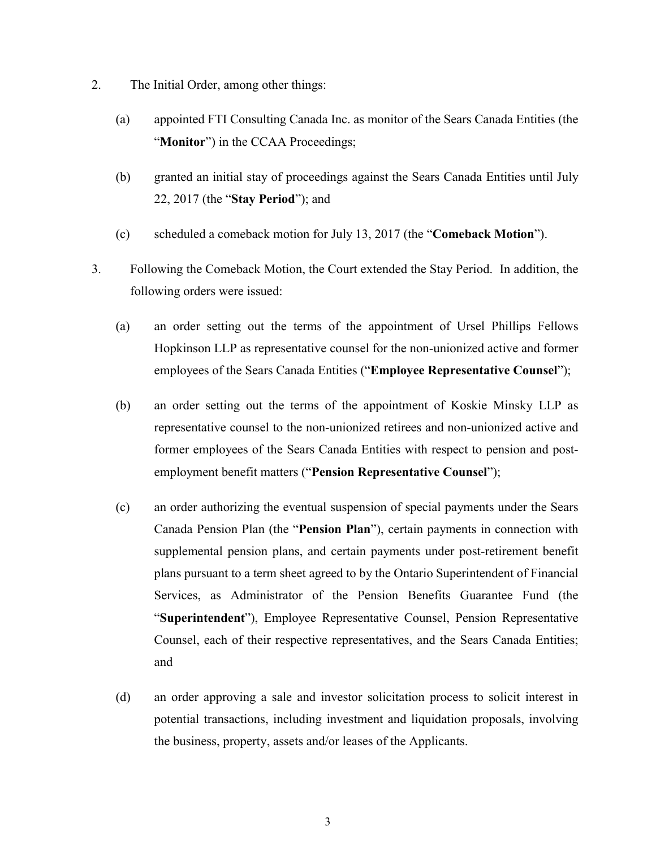- 2. The Initial Order, among other things:
	- (a) appointed FTI Consulting Canada Inc. as monitor of the Sears Canada Entities (the "**Monitor**") in the CCAA Proceedings;
	- (b) granted an initial stay of proceedings against the Sears Canada Entities until July 22, 2017 (the "**Stay Period**"); and
	- (c) scheduled a comeback motion for July 13, 2017 (the "**Comeback Motion**").
- 3. Following the Comeback Motion, the Court extended the Stay Period. In addition, the following orders were issued:
	- (a) an order setting out the terms of the appointment of Ursel Phillips Fellows Hopkinson LLP as representative counsel for the non-unionized active and former employees of the Sears Canada Entities ("**Employee Representative Counsel**");
	- (b) an order setting out the terms of the appointment of Koskie Minsky LLP as representative counsel to the non-unionized retirees and non-unionized active and former employees of the Sears Canada Entities with respect to pension and postemployment benefit matters ("**Pension Representative Counsel**");
	- (c) an order authorizing the eventual suspension of special payments under the Sears Canada Pension Plan (the "**Pension Plan**"), certain payments in connection with supplemental pension plans, and certain payments under post-retirement benefit plans pursuant to a term sheet agreed to by the Ontario Superintendent of Financial Services, as Administrator of the Pension Benefits Guarantee Fund (the "**Superintendent**"), Employee Representative Counsel, Pension Representative Counsel, each of their respective representatives, and the Sears Canada Entities; and
	- (d) an order approving a sale and investor solicitation process to solicit interest in potential transactions, including investment and liquidation proposals, involving the business, property, assets and/or leases of the Applicants.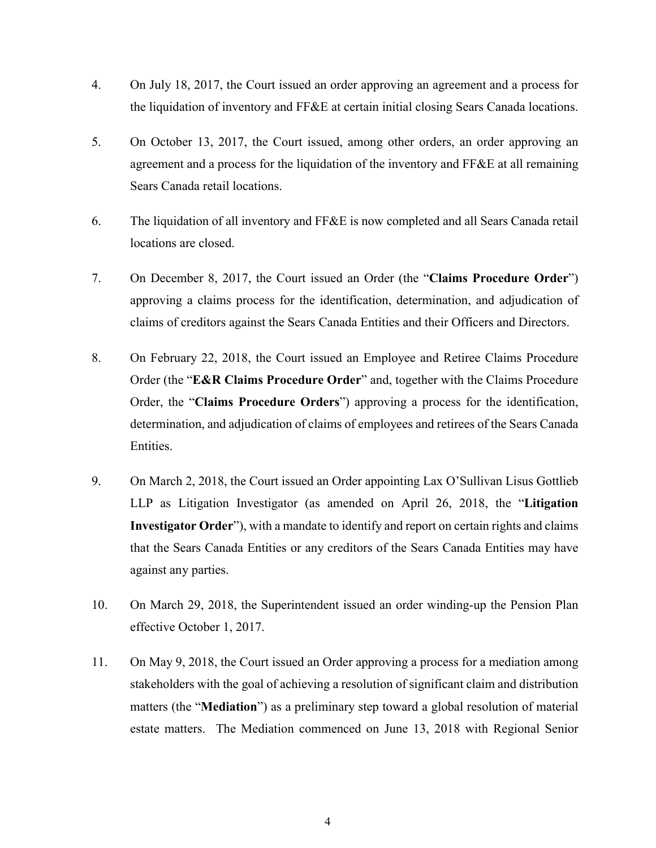- 4. On July 18, 2017, the Court issued an order approving an agreement and a process for the liquidation of inventory and FF&E at certain initial closing Sears Canada locations.
- 5. On October 13, 2017, the Court issued, among other orders, an order approving an agreement and a process for the liquidation of the inventory and  $FF&E$  at all remaining Sears Canada retail locations.
- 6. The liquidation of all inventory and FF&E is now completed and all Sears Canada retail locations are closed.
- 7. On December 8, 2017, the Court issued an Order (the "**Claims Procedure Order**") approving a claims process for the identification, determination, and adjudication of claims of creditors against the Sears Canada Entities and their Officers and Directors.
- 8. On February 22, 2018, the Court issued an Employee and Retiree Claims Procedure Order (the "**E&R Claims Procedure Order**" and, together with the Claims Procedure Order, the "**Claims Procedure Orders**") approving a process for the identification, determination, and adjudication of claims of employees and retirees of the Sears Canada Entities.
- 9. On March 2, 2018, the Court issued an Order appointing Lax O'Sullivan Lisus Gottlieb LLP as Litigation Investigator (as amended on April 26, 2018, the "**Litigation Investigator Order**"), with a mandate to identify and report on certain rights and claims that the Sears Canada Entities or any creditors of the Sears Canada Entities may have against any parties.
- 10. On March 29, 2018, the Superintendent issued an order winding-up the Pension Plan effective October 1, 2017.
- 11. On May 9, 2018, the Court issued an Order approving a process for a mediation among stakeholders with the goal of achieving a resolution of significant claim and distribution matters (the "**Mediation**") as a preliminary step toward a global resolution of material estate matters. The Mediation commenced on June 13, 2018 with Regional Senior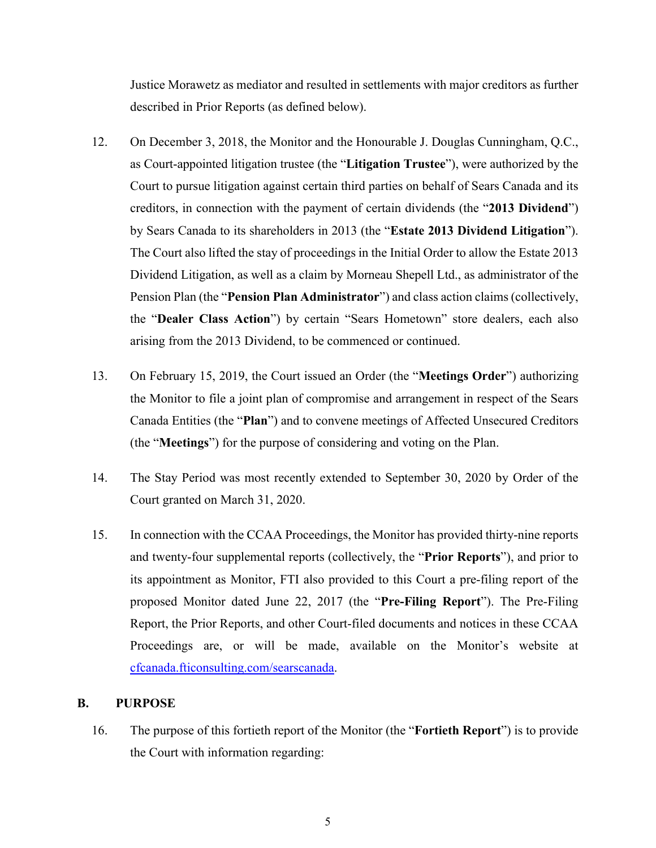Justice Morawetz as mediator and resulted in settlements with major creditors as further described in Prior Reports (as defined below).

- 12. On December 3, 2018, the Monitor and the Honourable J. Douglas Cunningham, Q.C., as Court-appointed litigation trustee (the "**Litigation Trustee**"), were authorized by the Court to pursue litigation against certain third parties on behalf of Sears Canada and its creditors, in connection with the payment of certain dividends (the "**2013 Dividend**") by Sears Canada to its shareholders in 2013 (the "**Estate 2013 Dividend Litigation**"). The Court also lifted the stay of proceedings in the Initial Order to allow the Estate 2013 Dividend Litigation, as well as a claim by Morneau Shepell Ltd., as administrator of the Pension Plan (the "**Pension Plan Administrator**") and class action claims (collectively, the "**Dealer Class Action**") by certain "Sears Hometown" store dealers, each also arising from the 2013 Dividend, to be commenced or continued.
- 13. On February 15, 2019, the Court issued an Order (the "**Meetings Order**") authorizing the Monitor to file a joint plan of compromise and arrangement in respect of the Sears Canada Entities (the "**Plan**") and to convene meetings of Affected Unsecured Creditors (the "**Meetings**") for the purpose of considering and voting on the Plan.
- 14. The Stay Period was most recently extended to September 30, 2020 by Order of the Court granted on March 31, 2020.
- 15. In connection with the CCAA Proceedings, the Monitor has provided thirty-nine reports and twenty-four supplemental reports (collectively, the "**Prior Reports**"), and prior to its appointment as Monitor, FTI also provided to this Court a pre-filing report of the proposed Monitor dated June 22, 2017 (the "**Pre-Filing Report**"). The Pre-Filing Report, the Prior Reports, and other Court-filed documents and notices in these CCAA Proceedings are, or will be made, available on the Monitor's website at [cfcanada.fticonsulting.com/searscanada](http://cfcanada.fticonsulting.com/searscanada/).

#### **B. PURPOSE**

<span id="page-5-0"></span>16. The purpose of this fortieth report of the Monitor (the "**Fortieth Report**") is to provide the Court with information regarding: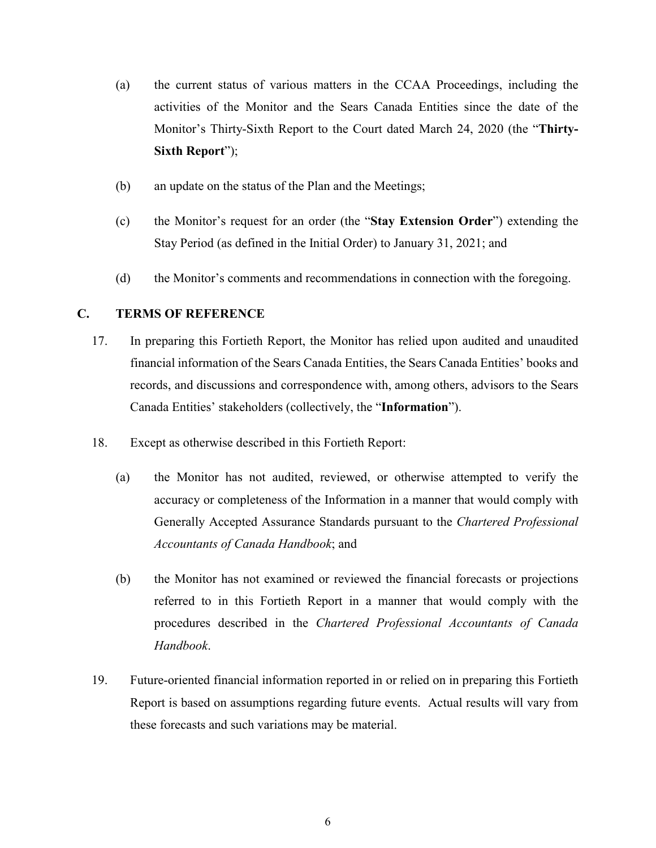- (a) the current status of various matters in the CCAA Proceedings, including the activities of the Monitor and the Sears Canada Entities since the date of the Monitor's Thirty-Sixth Report to the Court dated March 24, 2020 (the "**Thirty-Sixth Report**");
- (b) an update on the status of the Plan and the Meetings;
- (c) the Monitor's request for an order (the "**Stay Extension Order**") extending the Stay Period (as defined in the Initial Order) to January 31, 2021; and
- <span id="page-6-0"></span>(d) the Monitor's comments and recommendations in connection with the foregoing.

# **C. TERMS OF REFERENCE**

- 17. In preparing this Fortieth Report, the Monitor has relied upon audited and unaudited financial information of the Sears Canada Entities, the Sears Canada Entities' books and records, and discussions and correspondence with, among others, advisors to the Sears Canada Entities' stakeholders (collectively, the "**Information**").
- 18. Except as otherwise described in this Fortieth Report:
	- (a) the Monitor has not audited, reviewed, or otherwise attempted to verify the accuracy or completeness of the Information in a manner that would comply with Generally Accepted Assurance Standards pursuant to the *Chartered Professional Accountants of Canada Handbook*; and
	- (b) the Monitor has not examined or reviewed the financial forecasts or projections referred to in this Fortieth Report in a manner that would comply with the procedures described in the *Chartered Professional Accountants of Canada Handbook*.
- 19. Future-oriented financial information reported in or relied on in preparing this Fortieth Report is based on assumptions regarding future events. Actual results will vary from these forecasts and such variations may be material.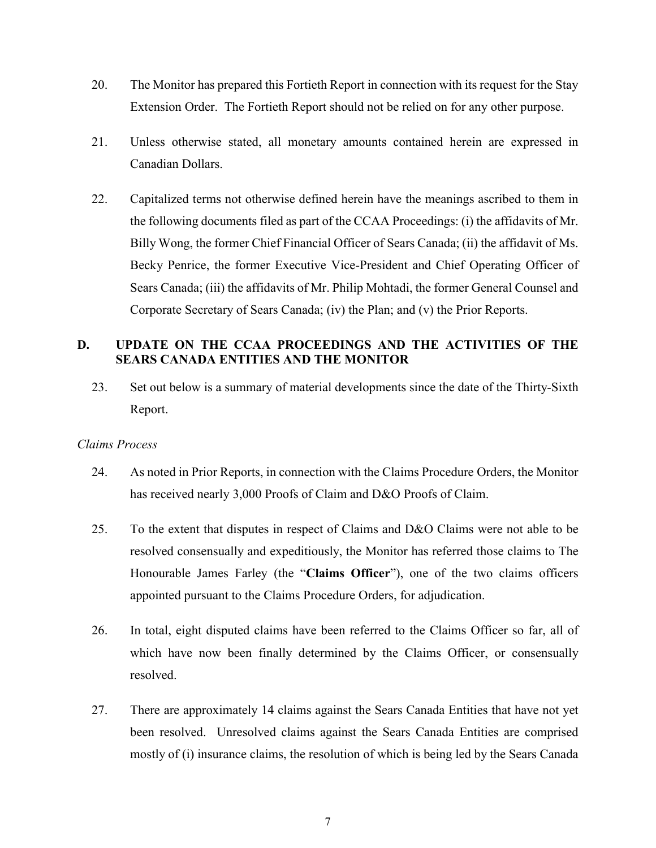- 20. The Monitor has prepared this Fortieth Report in connection with its request for the Stay Extension Order. The Fortieth Report should not be relied on for any other purpose.
- 21. Unless otherwise stated, all monetary amounts contained herein are expressed in Canadian Dollars.
- 22. Capitalized terms not otherwise defined herein have the meanings ascribed to them in the following documents filed as part of the CCAA Proceedings: (i) the affidavits of Mr. Billy Wong, the former Chief Financial Officer of Sears Canada; (ii) the affidavit of Ms. Becky Penrice, the former Executive Vice-President and Chief Operating Officer of Sears Canada; (iii) the affidavits of Mr. Philip Mohtadi, the former General Counsel and Corporate Secretary of Sears Canada; (iv) the Plan; and (v) the Prior Reports.

# **D. UPDATE ON THE CCAA PROCEEDINGS AND THE ACTIVITIES OF THE SEARS CANADA ENTITIES AND THE MONITOR**

<span id="page-7-0"></span>23. Set out below is a summary of material developments since the date of the Thirty-Sixth Report.

## *Claims Process*

- 24. As noted in Prior Reports, in connection with the Claims Procedure Orders, the Monitor has received nearly 3,000 Proofs of Claim and D&O Proofs of Claim.
- 25. To the extent that disputes in respect of Claims and D&O Claims were not able to be resolved consensually and expeditiously, the Monitor has referred those claims to The Honourable James Farley (the "**Claims Officer**"), one of the two claims officers appointed pursuant to the Claims Procedure Orders, for adjudication.
- 26. In total, eight disputed claims have been referred to the Claims Officer so far, all of which have now been finally determined by the Claims Officer, or consensually resolved.
- 27. There are approximately 14 claims against the Sears Canada Entities that have not yet been resolved. Unresolved claims against the Sears Canada Entities are comprised mostly of (i) insurance claims, the resolution of which is being led by the Sears Canada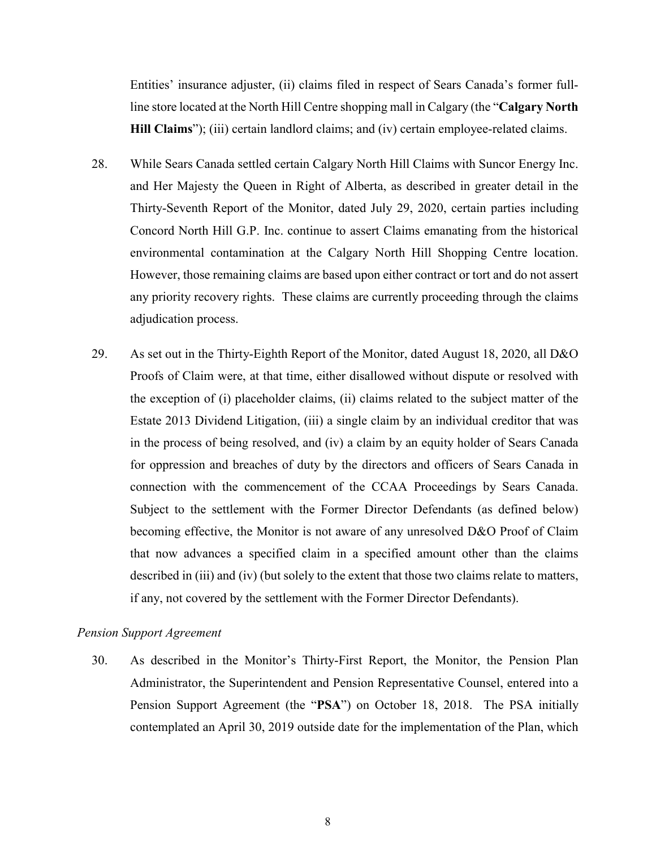Entities' insurance adjuster, (ii) claims filed in respect of Sears Canada's former fullline store located at the North Hill Centre shopping mall in Calgary (the "**Calgary North Hill Claims**"); (iii) certain landlord claims; and (iv) certain employee-related claims.

- 28. While Sears Canada settled certain Calgary North Hill Claims with Suncor Energy Inc. and Her Majesty the Queen in Right of Alberta, as described in greater detail in the Thirty-Seventh Report of the Monitor, dated July 29, 2020, certain parties including Concord North Hill G.P. Inc. continue to assert Claims emanating from the historical environmental contamination at the Calgary North Hill Shopping Centre location. However, those remaining claims are based upon either contract or tort and do not assert any priority recovery rights. These claims are currently proceeding through the claims adjudication process.
- 29. As set out in the Thirty-Eighth Report of the Monitor, dated August 18, 2020, all D&O Proofs of Claim were, at that time, either disallowed without dispute or resolved with the exception of (i) placeholder claims, (ii) claims related to the subject matter of the Estate 2013 Dividend Litigation, (iii) a single claim by an individual creditor that was in the process of being resolved, and (iv) a claim by an equity holder of Sears Canada for oppression and breaches of duty by the directors and officers of Sears Canada in connection with the commencement of the CCAA Proceedings by Sears Canada. Subject to the settlement with the Former Director Defendants (as defined below) becoming effective, the Monitor is not aware of any unresolved D&O Proof of Claim that now advances a specified claim in a specified amount other than the claims described in (iii) and (iv) (but solely to the extent that those two claims relate to matters, if any, not covered by the settlement with the Former Director Defendants).

## *Pension Support Agreement*

30. As described in the Monitor's Thirty-First Report, the Monitor, the Pension Plan Administrator, the Superintendent and Pension Representative Counsel, entered into a Pension Support Agreement (the "**PSA**") on October 18, 2018. The PSA initially contemplated an April 30, 2019 outside date for the implementation of the Plan, which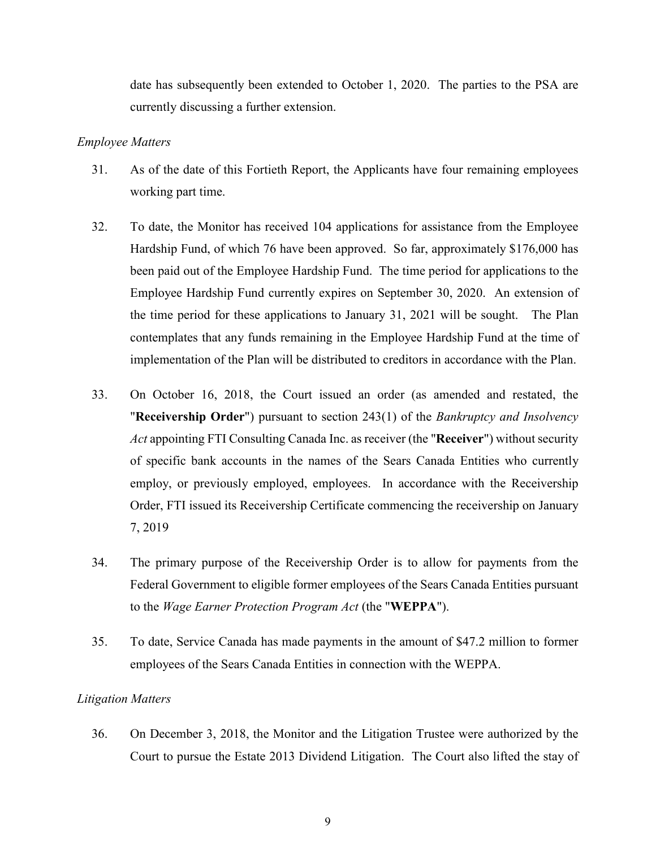date has subsequently been extended to October 1, 2020. The parties to the PSA are currently discussing a further extension.

#### *Employee Matters*

- 31. As of the date of this Fortieth Report, the Applicants have four remaining employees working part time.
- 32. To date, the Monitor has received 104 applications for assistance from the Employee Hardship Fund, of which 76 have been approved. So far, approximately \$176,000 has been paid out of the Employee Hardship Fund. The time period for applications to the Employee Hardship Fund currently expires on September 30, 2020. An extension of the time period for these applications to January 31, 2021 will be sought. The Plan contemplates that any funds remaining in the Employee Hardship Fund at the time of implementation of the Plan will be distributed to creditors in accordance with the Plan.
- 33. On October 16, 2018, the Court issued an order (as amended and restated, the "**Receivership Order**") pursuant to section 243(1) of the *Bankruptcy and Insolvency Act* appointing FTI Consulting Canada Inc. as receiver (the "**Receiver**") without security of specific bank accounts in the names of the Sears Canada Entities who currently employ, or previously employed, employees. In accordance with the Receivership Order, FTI issued its Receivership Certificate commencing the receivership on January 7, 2019
- 34. The primary purpose of the Receivership Order is to allow for payments from the Federal Government to eligible former employees of the Sears Canada Entities pursuant to the *Wage Earner Protection Program Act* (the "**WEPPA**").
- 35. To date, Service Canada has made payments in the amount of \$47.2 million to former employees of the Sears Canada Entities in connection with the WEPPA.

#### *Litigation Matters*

36. On December 3, 2018, the Monitor and the Litigation Trustee were authorized by the Court to pursue the Estate 2013 Dividend Litigation. The Court also lifted the stay of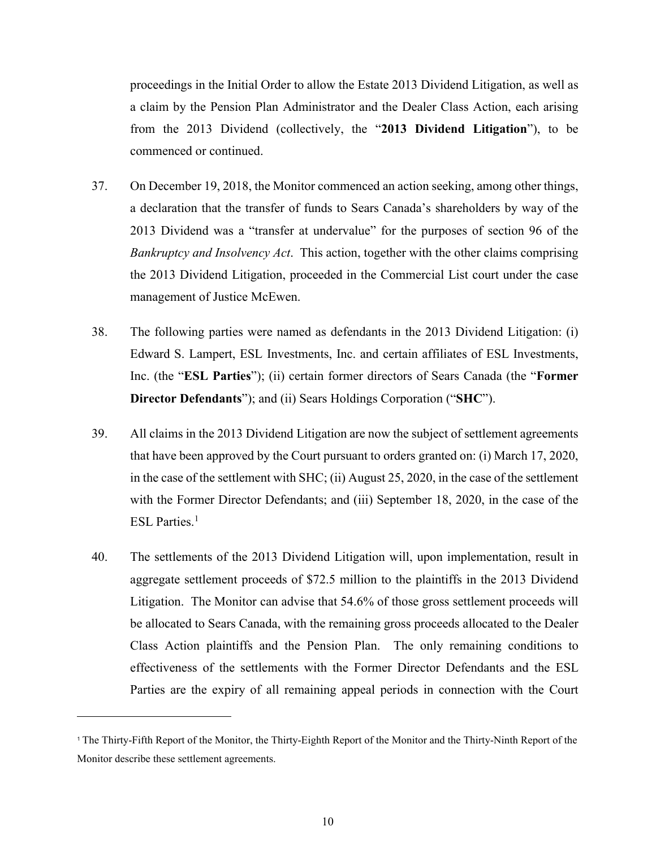proceedings in the Initial Order to allow the Estate 2013 Dividend Litigation, as well as a claim by the Pension Plan Administrator and the Dealer Class Action, each arising from the 2013 Dividend (collectively, the "**2013 Dividend Litigation**"), to be commenced or continued.

- 37. On December 19, 2018, the Monitor commenced an action seeking, among other things, a declaration that the transfer of funds to Sears Canada's shareholders by way of the 2013 Dividend was a "transfer at undervalue" for the purposes of section 96 of the *Bankruptcy and Insolvency Act*. This action, together with the other claims comprising the 2013 Dividend Litigation, proceeded in the Commercial List court under the case management of Justice McEwen.
- 38. The following parties were named as defendants in the 2013 Dividend Litigation: (i) Edward S. Lampert, ESL Investments, Inc. and certain affiliates of ESL Investments, Inc. (the "**ESL Parties**"); (ii) certain former directors of Sears Canada (the "**Former Director Defendants**"); and (ii) Sears Holdings Corporation ("**SHC**").
- 39. All claims in the 2013 Dividend Litigation are now the subject of settlement agreements that have been approved by the Court pursuant to orders granted on: (i) March 17, 2020, in the case of the settlement with SHC; (ii) August 25, 2020, in the case of the settlement with the Former Director Defendants; and (iii) September 18, 2020, in the case of the ESL Parties.<sup>1</sup>
- 40. The settlements of the 2013 Dividend Litigation will, upon implementation, result in aggregate settlement proceeds of \$72.5 million to the plaintiffs in the 2013 Dividend Litigation. The Monitor can advise that 54.6% of those gross settlement proceeds will be allocated to Sears Canada, with the remaining gross proceeds allocated to the Dealer Class Action plaintiffs and the Pension Plan. The only remaining conditions to effectiveness of the settlements with the Former Director Defendants and the ESL Parties are the expiry of all remaining appeal periods in connection with the Court

l

<sup>1</sup> The Thirty-Fifth Report of the Monitor, the Thirty-Eighth Report of the Monitor and the Thirty-Ninth Report of the Monitor describe these settlement agreements.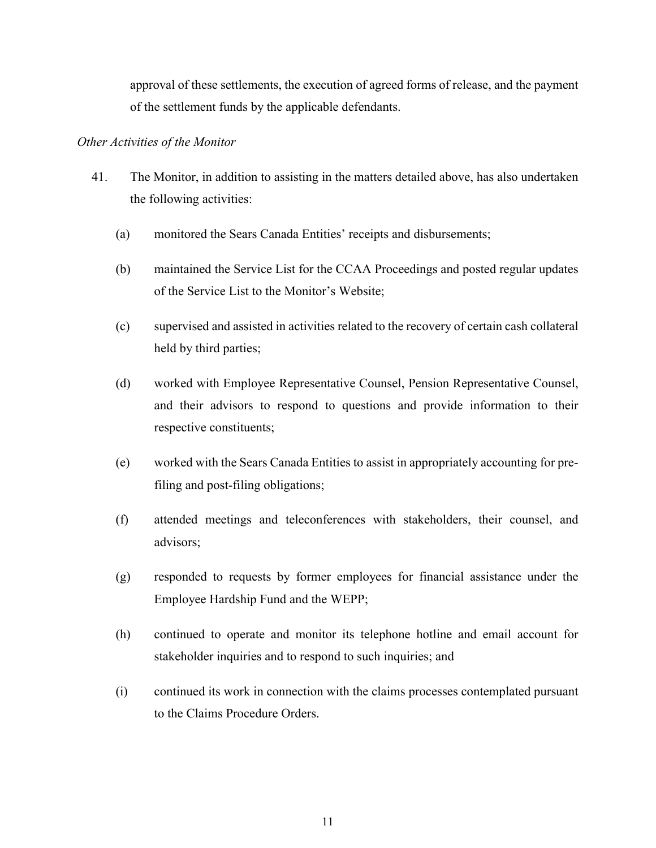approval of these settlements, the execution of agreed forms of release, and the payment of the settlement funds by the applicable defendants.

#### *Other Activities of the Monitor*

- 41. The Monitor, in addition to assisting in the matters detailed above, has also undertaken the following activities:
	- (a) monitored the Sears Canada Entities' receipts and disbursements;
	- (b) maintained the Service List for the CCAA Proceedings and posted regular updates of the Service List to the Monitor's Website;
	- (c) supervised and assisted in activities related to the recovery of certain cash collateral held by third parties;
	- (d) worked with Employee Representative Counsel, Pension Representative Counsel, and their advisors to respond to questions and provide information to their respective constituents;
	- (e) worked with the Sears Canada Entities to assist in appropriately accounting for prefiling and post-filing obligations;
	- (f) attended meetings and teleconferences with stakeholders, their counsel, and advisors;
	- (g) responded to requests by former employees for financial assistance under the Employee Hardship Fund and the WEPP;
	- (h) continued to operate and monitor its telephone hotline and email account for stakeholder inquiries and to respond to such inquiries; and
	- (i) continued its work in connection with the claims processes contemplated pursuant to the Claims Procedure Orders.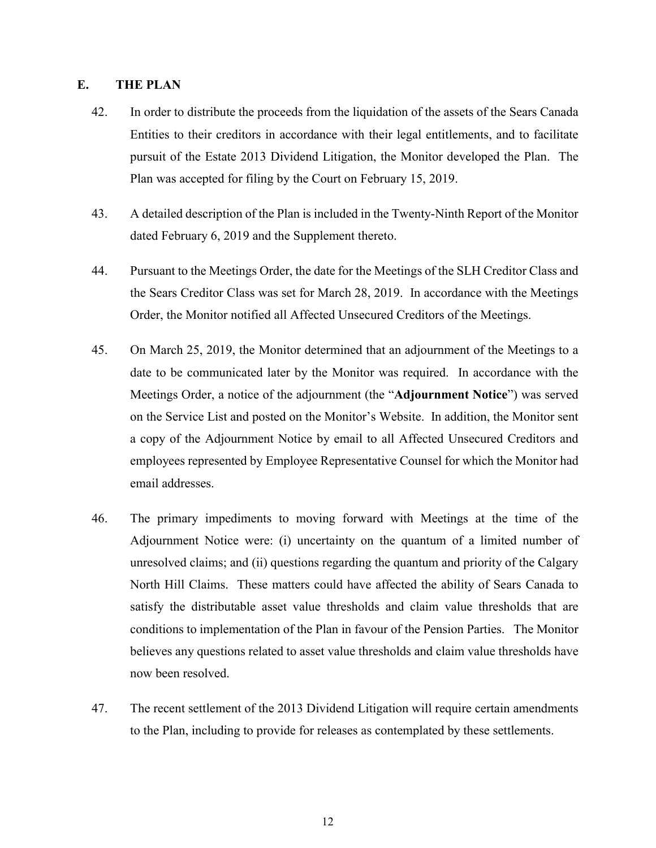## **E. THE PLAN**

- 42. In order to distribute the proceeds from the liquidation of the assets of the Sears Canada Entities to their creditors in accordance with their legal entitlements, and to facilitate pursuit of the Estate 2013 Dividend Litigation, the Monitor developed the Plan. The Plan was accepted for filing by the Court on February 15, 2019.
- 43. A detailed description of the Plan is included in the Twenty-Ninth Report of the Monitor dated February 6, 2019 and the Supplement thereto.
- 44. Pursuant to the Meetings Order, the date for the Meetings of the SLH Creditor Class and the Sears Creditor Class was set for March 28, 2019. In accordance with the Meetings Order, the Monitor notified all Affected Unsecured Creditors of the Meetings.
- 45. On March 25, 2019, the Monitor determined that an adjournment of the Meetings to a date to be communicated later by the Monitor was required. In accordance with the Meetings Order, a notice of the adjournment (the "**Adjournment Notice**") was served on the Service List and posted on the Monitor's Website. In addition, the Monitor sent a copy of the Adjournment Notice by email to all Affected Unsecured Creditors and employees represented by Employee Representative Counsel for which the Monitor had email addresses.
- 46. The primary impediments to moving forward with Meetings at the time of the Adjournment Notice were: (i) uncertainty on the quantum of a limited number of unresolved claims; and (ii) questions regarding the quantum and priority of the Calgary North Hill Claims. These matters could have affected the ability of Sears Canada to satisfy the distributable asset value thresholds and claim value thresholds that are conditions to implementation of the Plan in favour of the Pension Parties. The Monitor believes any questions related to asset value thresholds and claim value thresholds have now been resolved.
- <span id="page-12-0"></span>47. The recent settlement of the 2013 Dividend Litigation will require certain amendments to the Plan, including to provide for releases as contemplated by these settlements.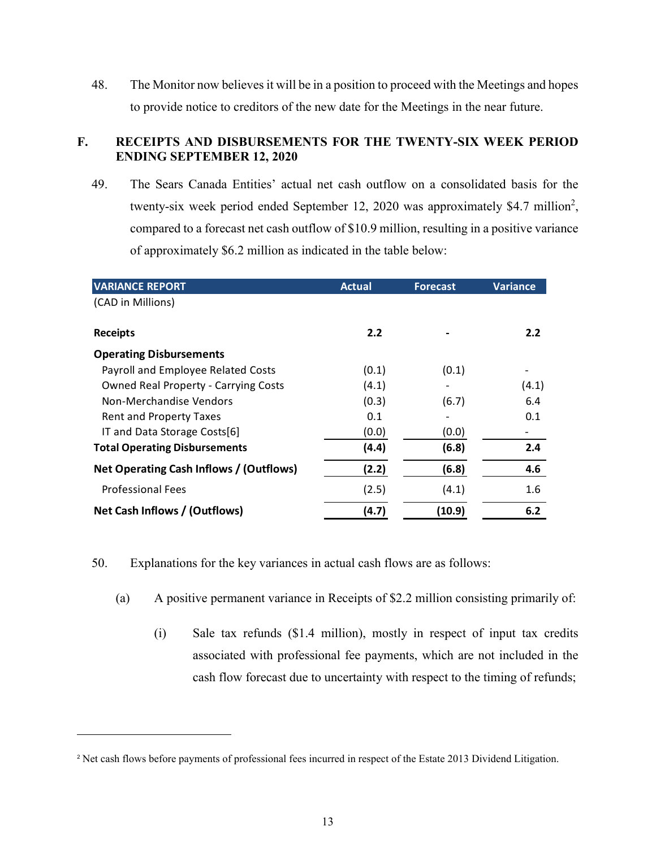<span id="page-13-0"></span>48. The Monitor now believes it will be in a position to proceed with the Meetings and hopes to provide notice to creditors of the new date for the Meetings in the near future.

# **F. RECEIPTS AND DISBURSEMENTS FOR THE TWENTY-SIX WEEK PERIOD ENDING SEPTEMBER 12, 2020**

49. The Sears Canada Entities' actual net cash outflow on a consolidated basis for the twenty-six week period ended September 12, 2020 was approximately \$4.7 million<sup>2</sup>, compared to a forecast net cash outflow of \$10.9 million, resulting in a positive variance of approximately \$6.2 million as indicated in the table below:

| <b>VARIANCE REPORT</b>                      | <b>Actual</b> | <b>Forecast</b> | Variance |
|---------------------------------------------|---------------|-----------------|----------|
| (CAD in Millions)                           |               |                 |          |
|                                             |               |                 |          |
| <b>Receipts</b>                             | 2.2           |                 | 2.2      |
| <b>Operating Disbursements</b>              |               |                 |          |
| Payroll and Employee Related Costs          | (0.1)         | (0.1)           |          |
| <b>Owned Real Property - Carrying Costs</b> | (4.1)         |                 | (4.1)    |
| Non-Merchandise Vendors                     | (0.3)         | (6.7)           | 6.4      |
| <b>Rent and Property Taxes</b>              | 0.1           |                 | 0.1      |
| IT and Data Storage Costs[6]                | (0.0)         | (0.0)           |          |
| <b>Total Operating Disbursements</b>        | (4.4)         | (6.8)           | 2.4      |
| Net Operating Cash Inflows / (Outflows)     | (2.2)         | (6.8)           | 4.6      |
| <b>Professional Fees</b>                    | (2.5)         | (4.1)           | 1.6      |
| Net Cash Inflows / (Outflows)               | (4.7)         | (10.9)          | 6.2      |

50. Explanations for the key variances in actual cash flows are as follows:

- (a) A positive permanent variance in Receipts of \$2.2 million consisting primarily of:
	- (i) Sale tax refunds (\$1.4 million), mostly in respect of input tax credits associated with professional fee payments, which are not included in the cash flow forecast due to uncertainty with respect to the timing of refunds;

l

<sup>&</sup>lt;sup>2</sup> Net cash flows before payments of professional fees incurred in respect of the Estate 2013 Dividend Litigation.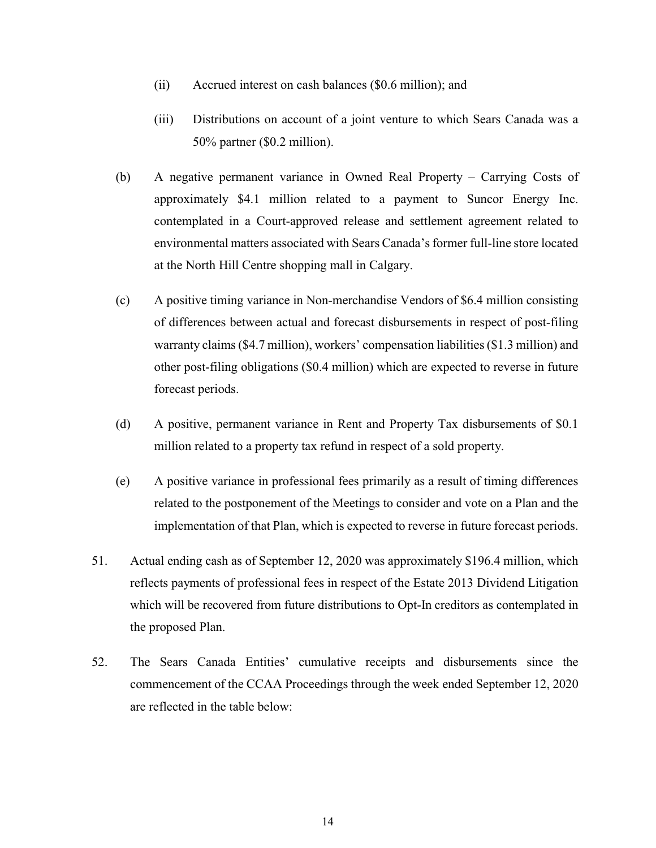- (ii) Accrued interest on cash balances (\$0.6 million); and
- (iii) Distributions on account of a joint venture to which Sears Canada was a 50% partner (\$0.2 million).
- (b) A negative permanent variance in Owned Real Property Carrying Costs of approximately \$4.1 million related to a payment to Suncor Energy Inc. contemplated in a Court-approved release and settlement agreement related to environmental matters associated with Sears Canada's former full-line store located at the North Hill Centre shopping mall in Calgary.
- (c) A positive timing variance in Non-merchandise Vendors of \$6.4 million consisting of differences between actual and forecast disbursements in respect of post-filing warranty claims (\$4.7 million), workers' compensation liabilities (\$1.3 million) and other post-filing obligations (\$0.4 million) which are expected to reverse in future forecast periods.
- (d) A positive, permanent variance in Rent and Property Tax disbursements of \$0.1 million related to a property tax refund in respect of a sold property.
- (e) A positive variance in professional fees primarily as a result of timing differences related to the postponement of the Meetings to consider and vote on a Plan and the implementation of that Plan, which is expected to reverse in future forecast periods.
- 51. Actual ending cash as of September 12, 2020 was approximately \$196.4 million, which reflects payments of professional fees in respect of the Estate 2013 Dividend Litigation which will be recovered from future distributions to Opt-In creditors as contemplated in the proposed Plan.
- 52. The Sears Canada Entities' cumulative receipts and disbursements since the commencement of the CCAA Proceedings through the week ended September 12, 2020 are reflected in the table below: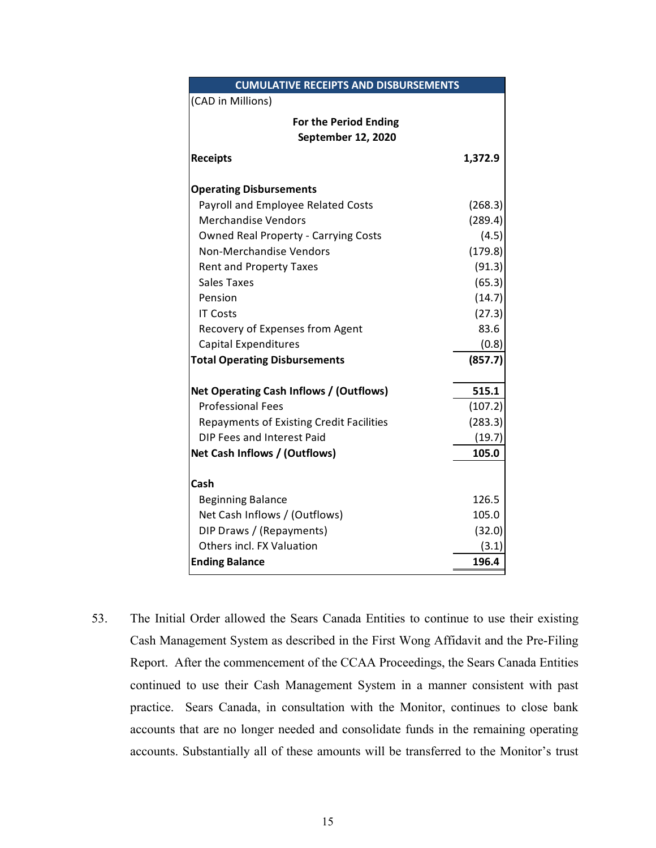| <b>CUMULATIVE RECEIPTS AND DISBURSEMENTS</b>    |         |  |  |  |
|-------------------------------------------------|---------|--|--|--|
| (CAD in Millions)                               |         |  |  |  |
| <b>For the Period Ending</b>                    |         |  |  |  |
| September 12, 2020                              |         |  |  |  |
| <b>Receipts</b>                                 | 1,372.9 |  |  |  |
| <b>Operating Disbursements</b>                  |         |  |  |  |
| Payroll and Employee Related Costs              | (268.3) |  |  |  |
| <b>Merchandise Vendors</b>                      | (289.4) |  |  |  |
| <b>Owned Real Property - Carrying Costs</b>     | (4.5)   |  |  |  |
| Non-Merchandise Vendors                         | (179.8) |  |  |  |
| <b>Rent and Property Taxes</b>                  | (91.3)  |  |  |  |
| Sales Taxes                                     | (65.3)  |  |  |  |
| Pension                                         | (14.7)  |  |  |  |
| <b>IT Costs</b>                                 | (27.3)  |  |  |  |
| Recovery of Expenses from Agent                 | 83.6    |  |  |  |
| <b>Capital Expenditures</b>                     | (0.8)   |  |  |  |
| (857.7)<br><b>Total Operating Disbursements</b> |         |  |  |  |
| Net Operating Cash Inflows / (Outflows)         | 515.1   |  |  |  |
| <b>Professional Fees</b>                        | (107.2) |  |  |  |
| <b>Repayments of Existing Credit Facilities</b> | (283.3) |  |  |  |
| DIP Fees and Interest Paid                      | (19.7)  |  |  |  |
| Net Cash Inflows / (Outflows)                   | 105.0   |  |  |  |
| Cash                                            |         |  |  |  |
| <b>Beginning Balance</b>                        | 126.5   |  |  |  |
| Net Cash Inflows / (Outflows)                   | 105.0   |  |  |  |
| DIP Draws / (Repayments)                        | (32.0)  |  |  |  |
| Others incl. FX Valuation                       | (3.1)   |  |  |  |
| <b>Ending Balance</b>                           | 196.4   |  |  |  |

53. The Initial Order allowed the Sears Canada Entities to continue to use their existing Cash Management System as described in the First Wong Affidavit and the Pre-Filing Report. After the commencement of the CCAA Proceedings, the Sears Canada Entities continued to use their Cash Management System in a manner consistent with past practice. Sears Canada, in consultation with the Monitor, continues to close bank accounts that are no longer needed and consolidate funds in the remaining operating accounts. Substantially all of these amounts will be transferred to the Monitor's trust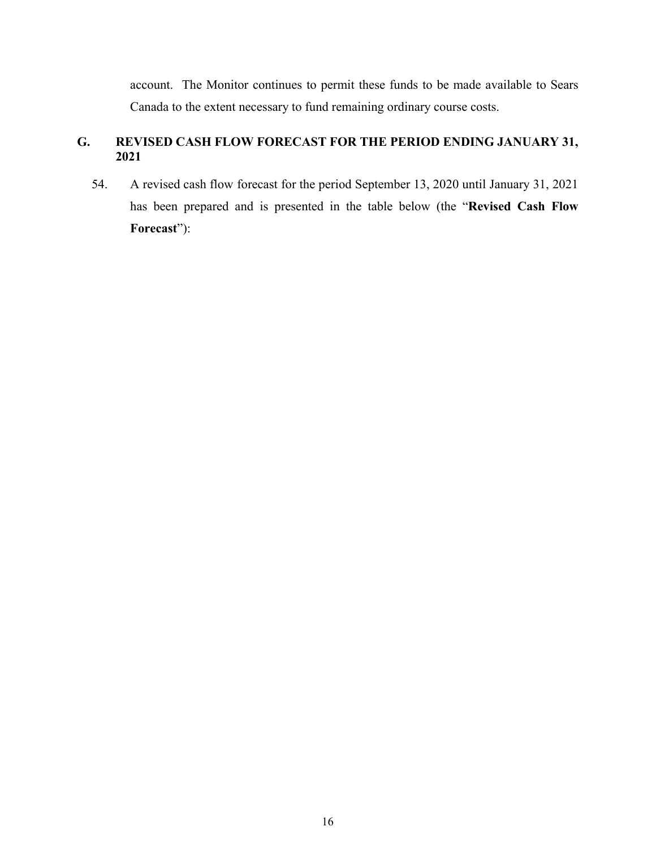<span id="page-16-0"></span>account. The Monitor continues to permit these funds to be made available to Sears Canada to the extent necessary to fund remaining ordinary course costs.

# **G. REVISED CASH FLOW FORECAST FOR THE PERIOD ENDING JANUARY 31, 2021**

54. A revised cash flow forecast for the period September 13, 2020 until January 31, 2021 has been prepared and is presented in the table below (the "**Revised Cash Flow Forecast**"):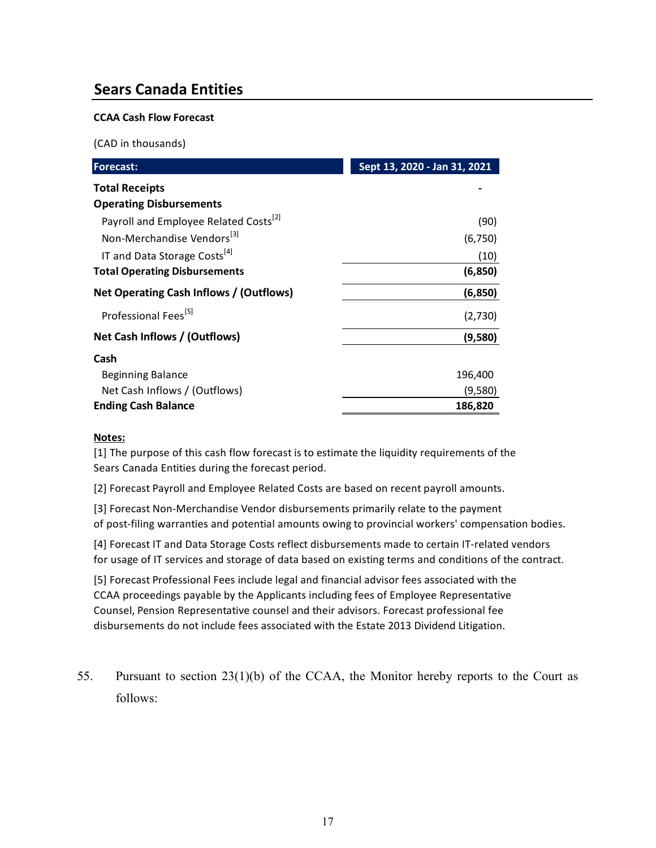# **Sears Canada Entities**

#### **CCAA Cash Flow Forecast**

(CAD in thousands)

| <b>Forecast:</b>                                  | Sept 13, 2020 - Jan 31, 2021 |
|---------------------------------------------------|------------------------------|
| <b>Total Receipts</b>                             |                              |
| <b>Operating Disbursements</b>                    |                              |
| Payroll and Employee Related Costs <sup>[2]</sup> | (90)                         |
| Non-Merchandise Vendors <sup>[3]</sup>            | (6,750)                      |
| IT and Data Storage Costs <sup>[4]</sup>          | (10)                         |
| <b>Total Operating Disbursements</b>              | (6, 850)                     |
| Net Operating Cash Inflows / (Outflows)           | (6, 850)                     |
| Professional Fees <sup>[5]</sup>                  | (2,730)                      |
| Net Cash Inflows / (Outflows)                     | (9,580)                      |
| Cash                                              |                              |
| Beginning Balance                                 | 196,400                      |
| Net Cash Inflows / (Outflows)                     | (9,580)                      |
| <b>Ending Cash Balance</b>                        | 186,820                      |

#### **Notes:**

[1] The purpose of this cash flow forecast is to estimate the liquidity requirements of the Sears Canada Entities during the forecast period.

[2] Forecast Payroll and Employee Related Costs are based on recent payroll amounts.

[3] Forecast Non-Merchandise Vendor disbursements primarily relate to the payment of post-filing warranties and potential amounts owing to provincial workers' compensation bodies.

[4] Forecast IT and Data Storage Costs reflect disbursements made to certain IT-related vendors for usage of IT services and storage of data based on existing terms and conditions of the contract.

[5] Forecast Professional Fees include legal and financial advisor fees associated with the CCAA proceedings payable by the Applicants including fees of Employee Representative Counsel, Pension Representative counsel and their advisors. Forecast professional fee disbursements do not include fees associated with the Estate 2013 Dividend Litigation.

55. Pursuant to section 23(1)(b) of the CCAA, the Monitor hereby reports to the Court as follows: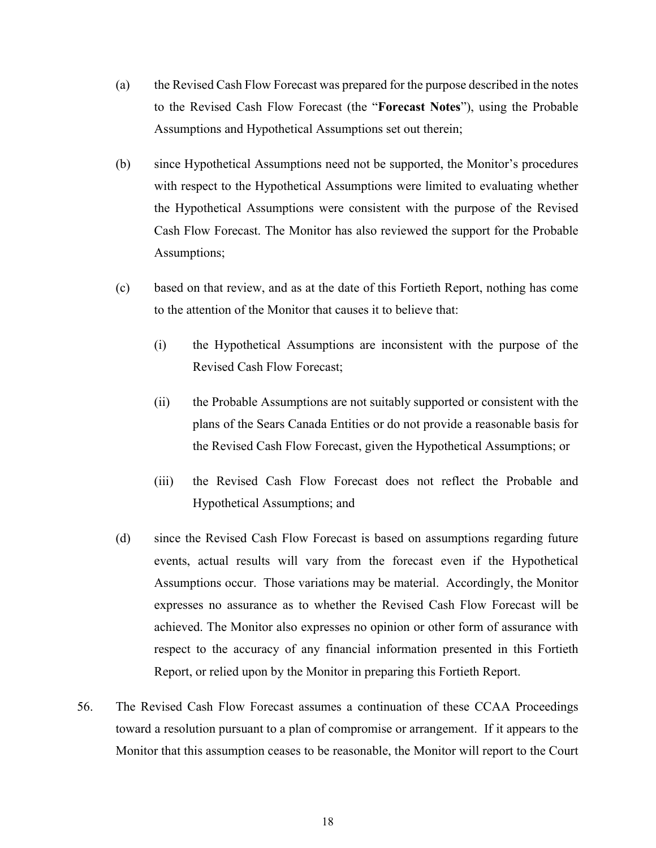- (a) the Revised Cash Flow Forecast was prepared for the purpose described in the notes to the Revised Cash Flow Forecast (the "**Forecast Notes**"), using the Probable Assumptions and Hypothetical Assumptions set out therein;
- (b) since Hypothetical Assumptions need not be supported, the Monitor's procedures with respect to the Hypothetical Assumptions were limited to evaluating whether the Hypothetical Assumptions were consistent with the purpose of the Revised Cash Flow Forecast. The Monitor has also reviewed the support for the Probable Assumptions;
- (c) based on that review, and as at the date of this Fortieth Report, nothing has come to the attention of the Monitor that causes it to believe that:
	- (i) the Hypothetical Assumptions are inconsistent with the purpose of the Revised Cash Flow Forecast;
	- (ii) the Probable Assumptions are not suitably supported or consistent with the plans of the Sears Canada Entities or do not provide a reasonable basis for the Revised Cash Flow Forecast, given the Hypothetical Assumptions; or
	- (iii) the Revised Cash Flow Forecast does not reflect the Probable and Hypothetical Assumptions; and
- (d) since the Revised Cash Flow Forecast is based on assumptions regarding future events, actual results will vary from the forecast even if the Hypothetical Assumptions occur. Those variations may be material. Accordingly, the Monitor expresses no assurance as to whether the Revised Cash Flow Forecast will be achieved. The Monitor also expresses no opinion or other form of assurance with respect to the accuracy of any financial information presented in this Fortieth Report, or relied upon by the Monitor in preparing this Fortieth Report.
- 56. The Revised Cash Flow Forecast assumes a continuation of these CCAA Proceedings toward a resolution pursuant to a plan of compromise or arrangement. If it appears to the Monitor that this assumption ceases to be reasonable, the Monitor will report to the Court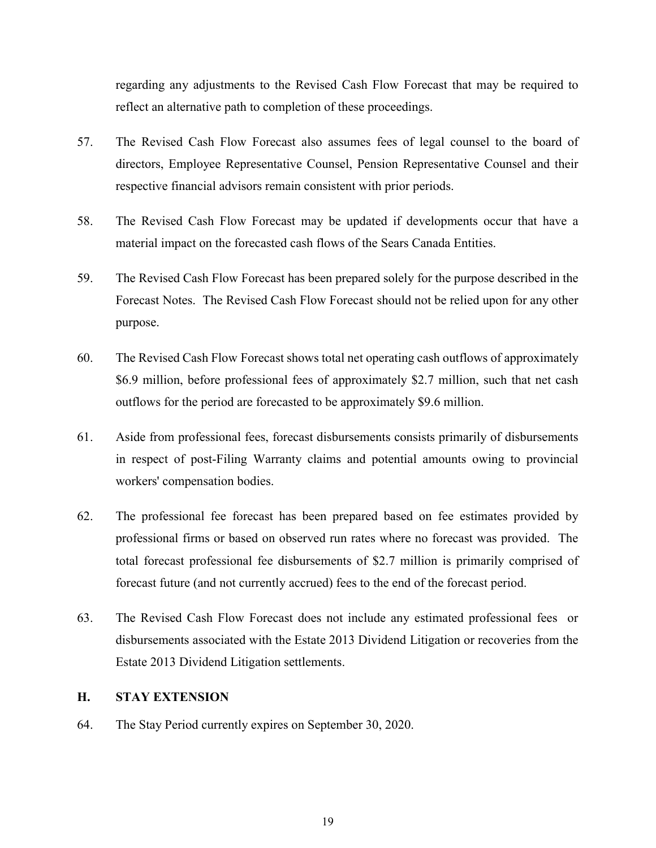regarding any adjustments to the Revised Cash Flow Forecast that may be required to reflect an alternative path to completion of these proceedings.

- 57. The Revised Cash Flow Forecast also assumes fees of legal counsel to the board of directors, Employee Representative Counsel, Pension Representative Counsel and their respective financial advisors remain consistent with prior periods.
- 58. The Revised Cash Flow Forecast may be updated if developments occur that have a material impact on the forecasted cash flows of the Sears Canada Entities.
- 59. The Revised Cash Flow Forecast has been prepared solely for the purpose described in the Forecast Notes. The Revised Cash Flow Forecast should not be relied upon for any other purpose.
- 60. The Revised Cash Flow Forecast shows total net operating cash outflows of approximately \$6.9 million, before professional fees of approximately \$2.7 million, such that net cash outflows for the period are forecasted to be approximately \$9.6 million.
- 61. Aside from professional fees, forecast disbursements consists primarily of disbursements in respect of post-Filing Warranty claims and potential amounts owing to provincial workers' compensation bodies.
- 62. The professional fee forecast has been prepared based on fee estimates provided by professional firms or based on observed run rates where no forecast was provided. The total forecast professional fee disbursements of \$2.7 million is primarily comprised of forecast future (and not currently accrued) fees to the end of the forecast period.
- 63. The Revised Cash Flow Forecast does not include any estimated professional fees or disbursements associated with the Estate 2013 Dividend Litigation or recoveries from the Estate 2013 Dividend Litigation settlements.

## <span id="page-19-0"></span>**H. STAY EXTENSION**

64. The Stay Period currently expires on September 30, 2020.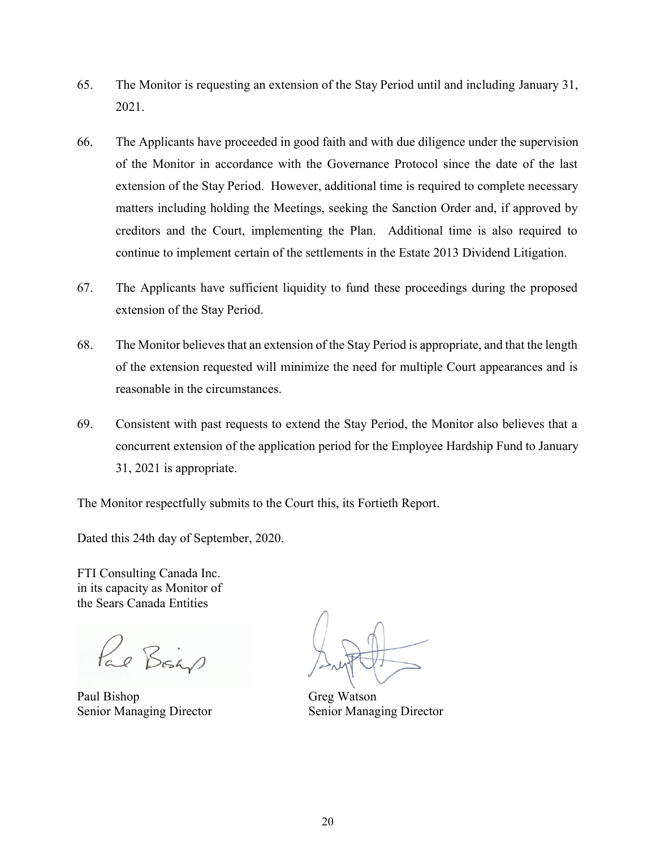- 65. The Monitor is requesting an extension of the Stay Period until and including January 31, 2021.
- 66. The Applicants have proceeded in good faith and with due diligence under the supervision of the Monitor in accordance with the Governance Protocol since the date of the last extension of the Stay Period. However, additional time is required to complete necessary matters including holding the Meetings, seeking the Sanction Order and, if approved by creditors and the Court, implementing the Plan. Additional time is also required to continue to implement certain of the settlements in the Estate 2013 Dividend Litigation.
- 67. The Applicants have sufficient liquidity to fund these proceedings during the proposed extension of the Stay Period.
- 68. The Monitor believes that an extension of the Stay Period is appropriate, and that the length of the extension requested will minimize the need for multiple Court appearances and is reasonable in the circumstances.
- 69. Consistent with past requests to extend the Stay Period, the Monitor also believes that a concurrent extension of the application period for the Employee Hardship Fund to January 31, 2021 is appropriate.

The Monitor respectfully submits to the Court this, its Fortieth Report.

Dated this 24th day of September, 2020.

FTI Consulting Canada Inc. in its capacity as Monitor of the Sears Canada Entities

Pal Bisho

Paul Bishop Greg Watson Senior Managing Director Senior Managing Director